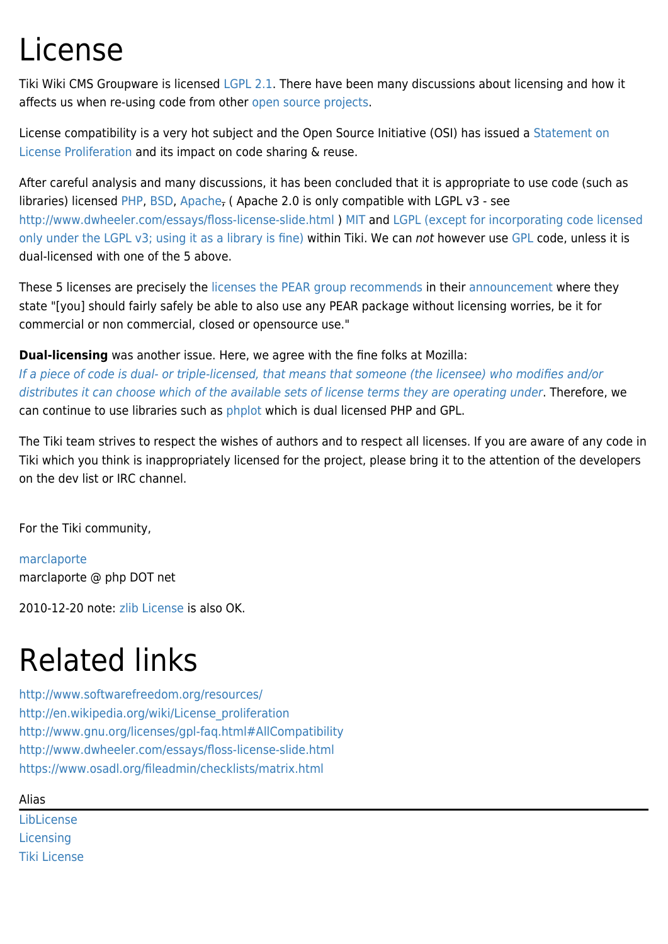## License

Tiki Wiki CMS Groupware is licensed [LGPL 2.1.](http://www.gnu.org/licenses/lgpl-2.1.html) There have been many discussions about licensing and how it affects us when re-using code from other [open source projects](https://tiki.org/Partners).

License compatibility is a very hot subject and the Open Source Initiative (OSI) has issued a [Statement on](http://opensource.org/proliferation-report) [License Proliferation](http://opensource.org/proliferation-report) and its impact on code sharing & reuse.

After careful analysis and many discussions, it has been concluded that it is appropriate to use code (such as libraries) licensed [PHP](http://www.php.net/license/), [BSD](http://www.opensource.org/licenses/bsd-license.php), [Apache,](http://www.apache.org/licenses/) (Apache 2.0 is only compatible with LGPL  $v3$  - see <http://www.dwheeler.com/essays/floss-license-slide.html> ) [MIT](http://www.opensource.org/licenses/mit-license.html) and [LGPL](http://www.gnu.org/copyleft/lesser.txt) [\(except for incorporating code licensed](http://www.gnu.org/licenses/gpl-faq.html#AllCompatibility) [only under the LGPL v3; using it as a library is fine\)](http://www.gnu.org/licenses/gpl-faq.html#AllCompatibility) within Tiki. We can not however use [GPL](http://www.gnu.org/licenses/gpl.txt) code, unless it is dual-licensed with one of the 5 above.

These 5 licenses are precisely the [licenses the PEAR group recommends](http://pear.php.net/manual/en/faq.devs.php#faq.licenses) in their [announcement](http://pear.php.net/group/docs/20040402-la.php) where they state "[you] should fairly safely be able to also use any PEAR package without licensing worries, be it for commercial or non commercial, closed or opensource use."

**Dual-licensing** was another issue. Here, we agree with the fine folks at Mozilla:

[If a piece of code is dual- or triple-licensed, that means that someone \(the licensee\) who modifies and/or](http://www.mozilla.org/MPL/relicensing-faq.html) [distributes it can choose which of the available sets of license terms they are operating under](http://www.mozilla.org/MPL/relicensing-faq.html). Therefore, we can continue to use libraries such as [phplot](http://sourceforge.net/projects/phplot/) which is dual licensed PHP and GPL.

The Tiki team strives to respect the wishes of authors and to respect all licenses. If you are aware of any code in Tiki which you think is inappropriately licensed for the project, please bring it to the attention of the developers on the dev list or IRC channel.

For the Tiki community,

[marclaporte](https://tiki.org/UserPagemarclaporte) marclaporte @ php DOT net

2010-12-20 note: [zlib License](http://en.wikipedia.org/wiki/Zlib_License) is also OK.

## Related links

<http://www.softwarefreedom.org/resources/> [http://en.wikipedia.org/wiki/License\\_proliferation](http://en.wikipedia.org/wiki/License_proliferation) <http://www.gnu.org/licenses/gpl-faq.html#AllCompatibility> <http://www.dwheeler.com/essays/floss-license-slide.html> <https://www.osadl.org/fileadmin/checklists/matrix.html>

## Alias

[LibLicense](https://tiki.org/LibLicense) **[Licensing](https://tiki.org/Licensing)** [Tiki License](https://tiki.org/Tiki-License)